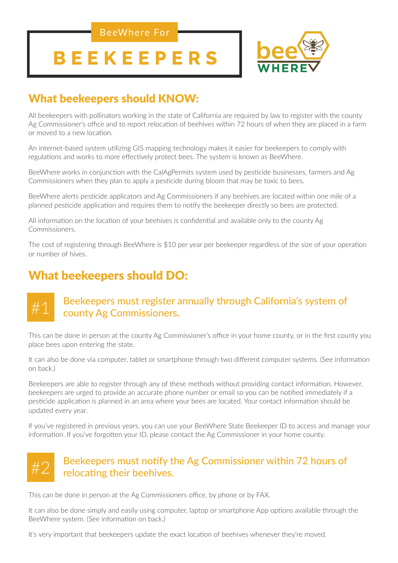BeeWhere For

# **BEEKEEPERS**



# What beekeepers should KNOW:

All beekeepers with pollinators working in the state of California are required by law to register with the county Ag Commissioner's office and to report relocation of beehives within 72 hours of when they are placed in a farm or moved to a new location.

An internet-based system utilizing GIS mapping technology makes it easier for beekeepers to comply with regulations and works to more effectively protect bees. The system is known as BeeWhere.

BeeWhere works in conjunction with the CalAgPermits system used by pesticide businesses, farmers and Ag Commissioners when they plan to apply a pesticide during bloom that may be toxic to bees.

BeeWhere alerts pesticide applicators and Ag Commissioners if any beehives are located within one mile of a planned pesticide application and requires them to notify the beekeeper directly so bees are protected.

All information on the location of your beehives is confidential and available only to the county Ag Commissioners.

The cost of registering through BeeWhere is \$10 per year per beekeeper regardless of the size of your operation or number of hives.

# What beekeepers should DO:

#### #1 Beekeepers must register annually through California's system of county Ag Commissioners.

This can be done in person at the county Ag Commissioner's office in your home county, or in the first county you place bees upon entering the state.

It can also be done via computer, tablet or smartphone through two different computer systems. (See information on back.)

Beekeepers are able to register through any of these methods without providing contact information. However, beekeepers are urged to provide an accurate phone number or email so you can be notified immediately if a pesticide application is planned in an area where your bees are located. Your contact information should be updated every year.

If you've registered in previous years, you can use your BeeWhere State Beekeeper ID to access and manage your information. If you've forgotten your ID, please contact the Ag Commissioner in your home county.

#### #2 Beekeepers must notify the Ag Commissioner within 72 hours of relocating their beehives.

This can be done in person at the Ag Commissioners office, by phone or by FAX.

It can also be done simply and easily using computer, laptop or smartphone App options available through the BeeWhere system. (See information on back.)

It's very important that beekeepers update the exact location of beehives whenever they're moved.